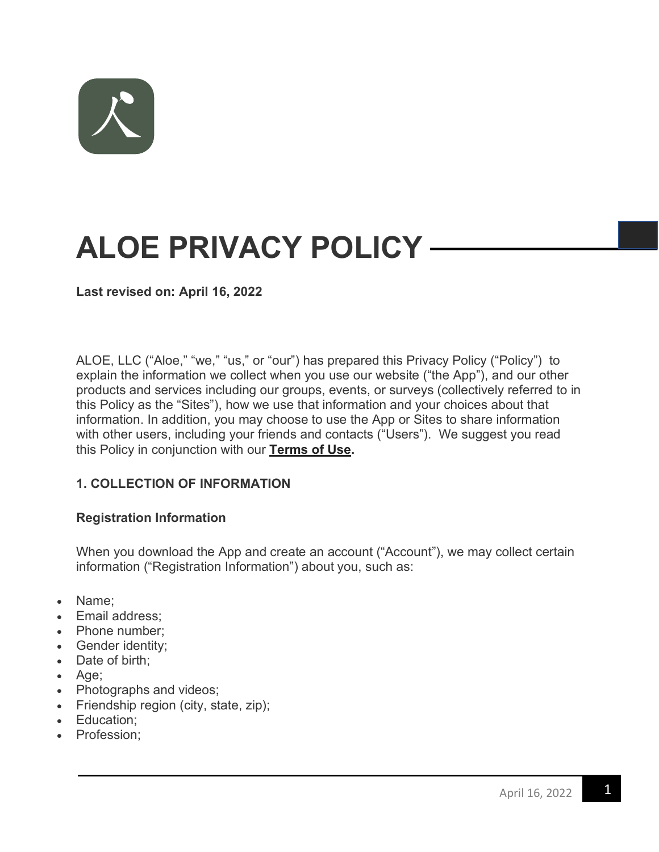

# **ALOE PRIVACY POLICY**

**Last revised on: April 16, 2022**

ALOE, LLC ("Aloe," "we," "us," or "our") has prepared this Privacy Policy ("Policy") to explain the information we collect when you use our website ("the App"), and our other products and services including our groups, events, or surveys (collectively referred to in this Policy as the "Sites"), how we use that information and your choices about that information. In addition, you may choose to use the App or Sites to share information with other users, including your friends and contacts ("Users"). We suggest you read this Policy in conjunction with our **Terms of Use.**

### **1. COLLECTION OF INFORMATION**

### **Registration Information**

When you download the App and create an account ("Account"), we may collect certain information ("Registration Information") about you, such as:

- Name;
- Email address;
- Phone number;
- Gender identity;
- Date of birth;
- Age;
- Photographs and videos;
- Friendship region (city, state, zip);
- Education;
- Profession;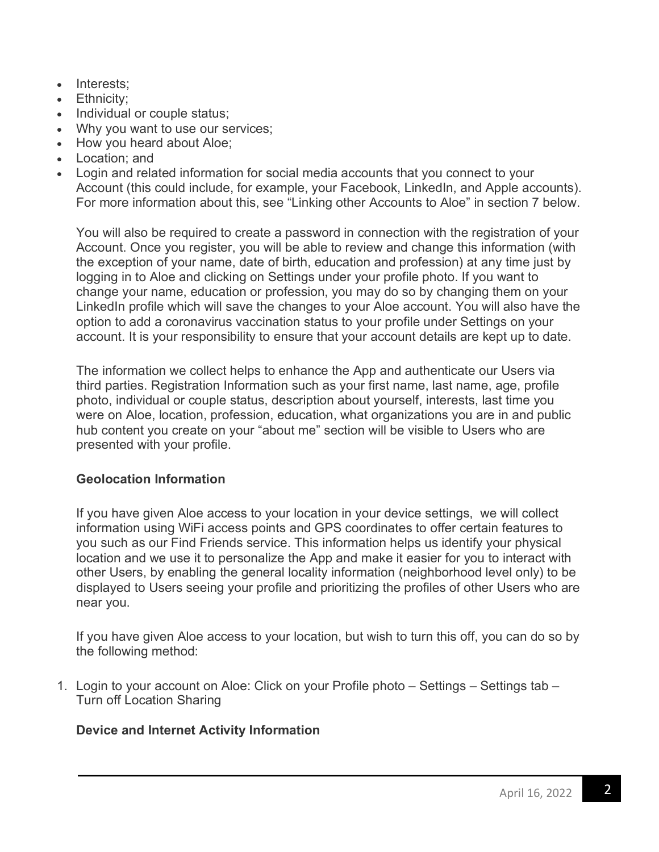- Interests;
- Ethnicity;
- Individual or couple status;
- Why you want to use our services;
- How you heard about Aloe;
- Location; and
- Login and related information for social media accounts that you connect to your Account (this could include, for example, your Facebook, LinkedIn, and Apple accounts). For more information about this, see "Linking other Accounts to Aloe" in section 7 below.

You will also be required to create a password in connection with the registration of your Account. Once you register, you will be able to review and change this information (with the exception of your name, date of birth, education and profession) at any time just by logging in to Aloe and clicking on Settings under your profile photo. If you want to change your name, education or profession, you may do so by changing them on your LinkedIn profile which will save the changes to your Aloe account. You will also have the option to add a coronavirus vaccination status to your profile under Settings on your account. It is your responsibility to ensure that your account details are kept up to date.

The information we collect helps to enhance the App and authenticate our Users via third parties. Registration Information such as your first name, last name, age, profile photo, individual or couple status, description about yourself, interests, last time you were on Aloe, location, profession, education, what organizations you are in and public hub content you create on your "about me" section will be visible to Users who are presented with your profile.

# **Geolocation Information**

If you have given Aloe access to your location in your device settings, we will collect information using WiFi access points and GPS coordinates to offer certain features to you such as our Find Friends service. This information helps us identify your physical location and we use it to personalize the App and make it easier for you to interact with other Users, by enabling the general locality information (neighborhood level only) to be displayed to Users seeing your profile and prioritizing the profiles of other Users who are near you.

If you have given Aloe access to your location, but wish to turn this off, you can do so by the following method:

1. Login to your account on Aloe: Click on your Profile photo – Settings – Settings tab – Turn off Location Sharing

# **Device and Internet Activity Information**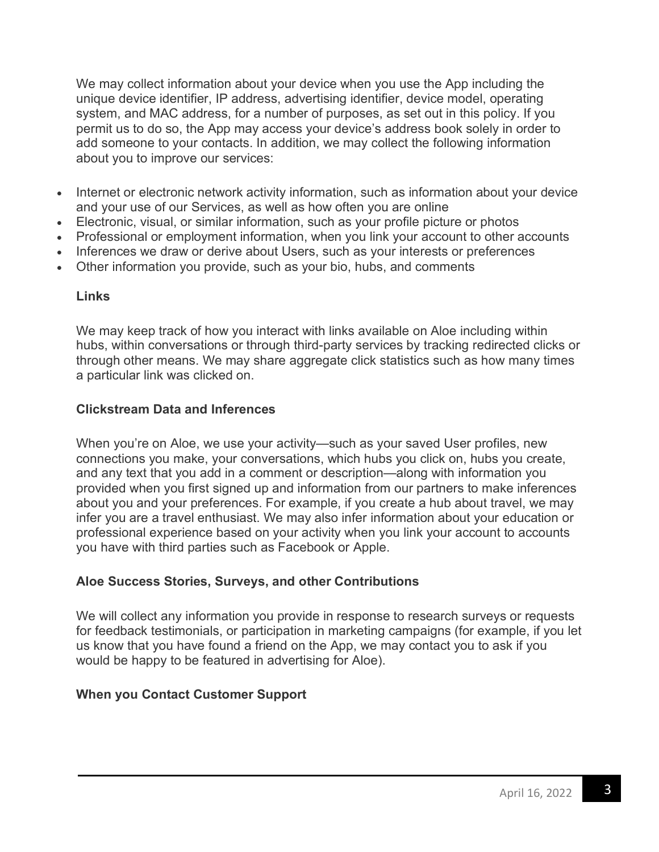We may collect information about your device when you use the App including the unique device identifier, IP address, advertising identifier, device model, operating system, and MAC address, for a number of purposes, as set out in this policy. If you permit us to do so, the App may access your device's address book solely in order to add someone to your contacts. In addition, we may collect the following information about you to improve our services:

- Internet or electronic network activity information, such as information about your device and your use of our Services, as well as how often you are online
- Electronic, visual, or similar information, such as your profile picture or photos
- Professional or employment information, when you link your account to other accounts
- Inferences we draw or derive about Users, such as your interests or preferences
- Other information you provide, such as your bio, hubs, and comments

### **Links**

We may keep track of how you interact with links available on Aloe including within hubs, within conversations or through third-party services by tracking redirected clicks or through other means. We may share aggregate click statistics such as how many times a particular link was clicked on.

### **Clickstream Data and Inferences**

When you're on Aloe, we use your activity—such as your saved User profiles, new connections you make, your conversations, which hubs you click on, hubs you create, and any text that you add in a comment or description—along with information you provided when you first signed up and information from our partners to make inferences about you and your preferences. For example, if you create a hub about travel, we may infer you are a travel enthusiast. We may also infer information about your education or professional experience based on your activity when you link your account to accounts you have with third parties such as Facebook or Apple.

# **Aloe Success Stories, Surveys, and other Contributions**

We will collect any information you provide in response to research surveys or requests for feedback testimonials, or participation in marketing campaigns (for example, if you let us know that you have found a friend on the App, we may contact you to ask if you would be happy to be featured in advertising for Aloe).

# **When you Contact Customer Support**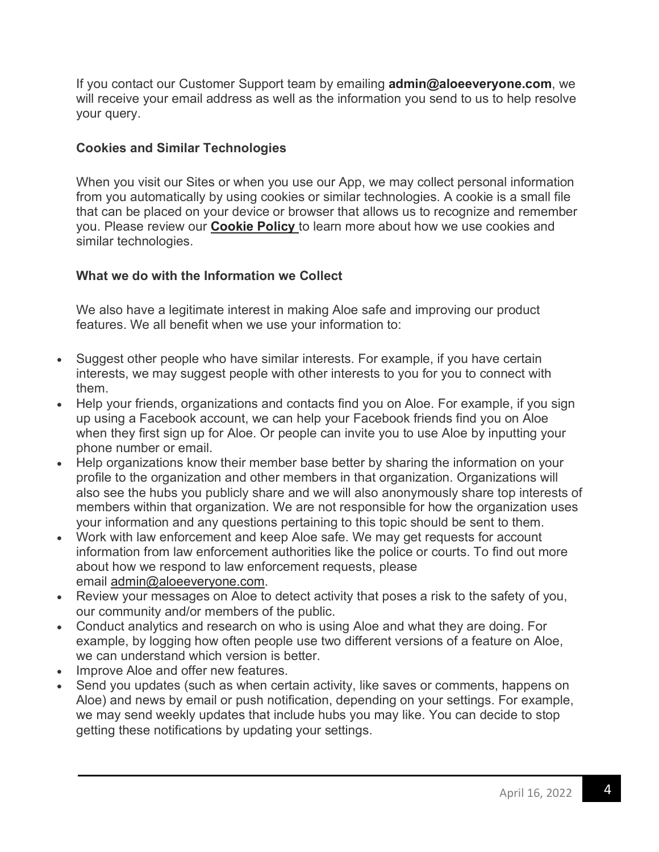If you contact our Customer Support team by emailing **admin@aloeeveryone.com**, we will receive your email address as well as the information you send to us to help resolve your query.

### **Cookies and Similar Technologies**

When you visit our Sites or when you use our App, we may collect personal information from you automatically by using cookies or similar technologies. A cookie is a small file that can be placed on your device or browser that allows us to recognize and remember you. Please review our **Cookie Policy** to learn more about how we use cookies and similar technologies.

# **What we do with the Information we Collect**

We also have a legitimate interest in making Aloe safe and improving our product features. We all benefit when we use your information to:

- Suggest other people who have similar interests. For example, if you have certain interests, we may suggest people with other interests to you for you to connect with them.
- Help your friends, organizations and contacts find you on Aloe. For example, if you sign up using a Facebook account, we can help your Facebook friends find you on Aloe when they first sign up for Aloe. Or people can invite you to use Aloe by inputting your phone number or email.
- Help organizations know their member base better by sharing the information on your profile to the organization and other members in that organization. Organizations will also see the hubs you publicly share and we will also anonymously share top interests of members within that organization. We are not responsible for how the organization uses your information and any questions pertaining to this topic should be sent to them.
- Work with law enforcement and keep Aloe safe. We may get requests for account information from law enforcement authorities like the police or courts. To find out more about how we respond to law enforcement requests, please email admin@aloeeveryone.com.
- Review your messages on Aloe to detect activity that poses a risk to the safety of you, our community and/or members of the public.
- Conduct analytics and research on who is using Aloe and what they are doing. For example, by logging how often people use two different versions of a feature on Aloe, we can understand which version is better.
- Improve Aloe and offer new features.
- Send you updates (such as when certain activity, like saves or comments, happens on Aloe) and news by email or push notification, depending on your settings. For example, we may send weekly updates that include hubs you may like. You can decide to stop getting these notifications by updating your settings.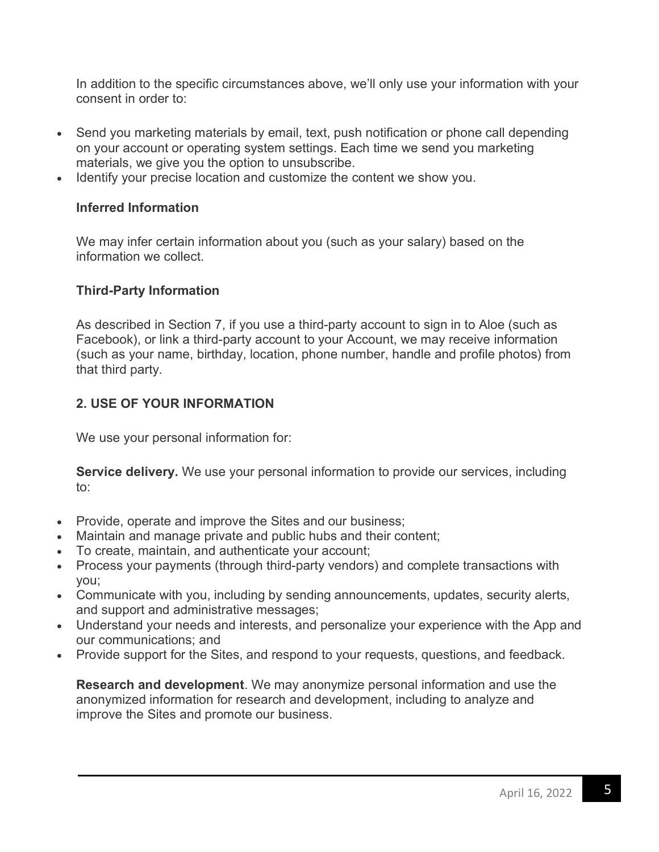In addition to the specific circumstances above, we'll only use your information with your consent in order to:

- Send you marketing materials by email, text, push notification or phone call depending on your account or operating system settings. Each time we send you marketing materials, we give you the option to unsubscribe.
- Identify your precise location and customize the content we show you.

### **Inferred Information**

We may infer certain information about you (such as your salary) based on the information we collect.

### **Third-Party Information**

As described in Section 7, if you use a third-party account to sign in to Aloe (such as Facebook), or link a third-party account to your Account, we may receive information (such as your name, birthday, location, phone number, handle and profile photos) from that third party.

### **2. USE OF YOUR INFORMATION**

We use your personal information for:

**Service delivery.** We use your personal information to provide our services, including to:

- Provide, operate and improve the Sites and our business;
- Maintain and manage private and public hubs and their content;
- To create, maintain, and authenticate your account;
- Process your payments (through third-party vendors) and complete transactions with you;
- Communicate with you, including by sending announcements, updates, security alerts, and support and administrative messages;
- Understand your needs and interests, and personalize your experience with the App and our communications; and
- Provide support for the Sites, and respond to your requests, questions, and feedback.

**Research and development**. We may anonymize personal information and use the anonymized information for research and development, including to analyze and improve the Sites and promote our business.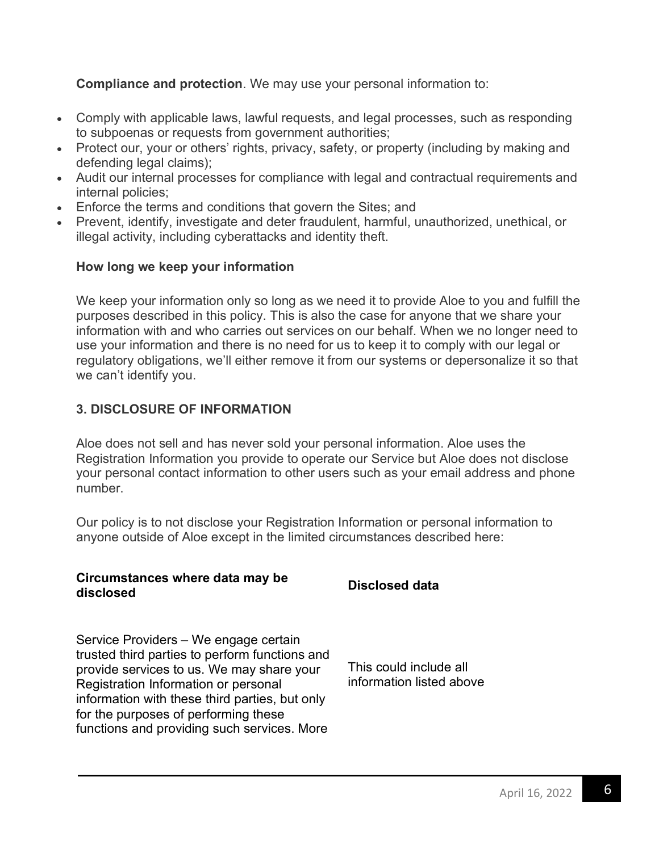**Compliance and protection**. We may use your personal information to:

- Comply with applicable laws, lawful requests, and legal processes, such as responding to subpoenas or requests from government authorities;
- Protect our, your or others' rights, privacy, safety, or property (including by making and defending legal claims);
- Audit our internal processes for compliance with legal and contractual requirements and internal policies;
- Enforce the terms and conditions that govern the Sites; and
- Prevent, identify, investigate and deter fraudulent, harmful, unauthorized, unethical, or illegal activity, including cyberattacks and identity theft.

### **How long we keep your information**

We keep your information only so long as we need it to provide Aloe to you and fulfill the purposes described in this policy. This is also the case for anyone that we share your information with and who carries out services on our behalf. When we no longer need to use your information and there is no need for us to keep it to comply with our legal or regulatory obligations, we'll either remove it from our systems or depersonalize it so that we can't identify you.

### **3. DISCLOSURE OF INFORMATION**

Aloe does not sell and has never sold your personal information. Aloe uses the Registration Information you provide to operate our Service but Aloe does not disclose your personal contact information to other users such as your email address and phone number.

Our policy is to not disclose your Registration Information or personal information to anyone outside of Aloe except in the limited circumstances described here:

### **Circumstances where data may be disclosed Disclosed data**

Service Providers – We engage certain trusted third parties to perform functions and provide services to us. We may share your Registration Information or personal information with these third parties, but only for the purposes of performing these functions and providing such services. More

This could include all information listed above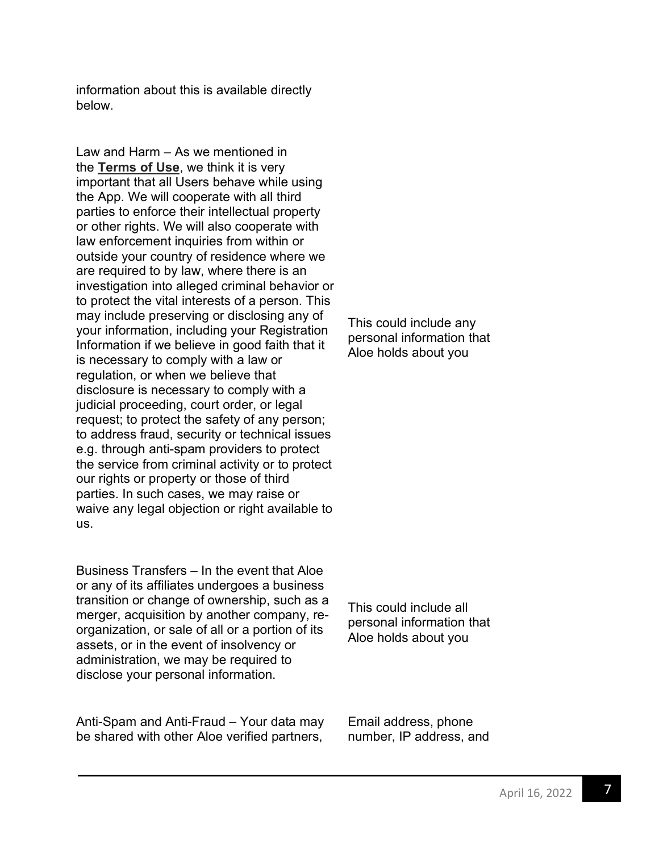information about this is available directly below.

Law and Harm – As we mentioned in the **Terms of Use**, we think it is very important that all Users behave while using the App. We will cooperate with all third parties to enforce their intellectual property or other rights. We will also cooperate with law enforcement inquiries from within or outside your country of residence where we are required to by law, where there is an investigation into alleged criminal behavior or to protect the vital interests of a person. This may include preserving or disclosing any of your information, including your Registration Information if we believe in good faith that it is necessary to comply with a law or regulation, or when we believe that disclosure is necessary to comply with a judicial proceeding, court order, or legal request; to protect the safety of any person; to address fraud, security or technical issues e.g. through anti-spam providers to protect the service from criminal activity or to protect our rights or property or those of third parties. In such cases, we may raise or waive any legal objection or right available to us.

Business Transfers – In the event that Aloe or any of its affiliates undergoes a business transition or change of ownership, such as a merger, acquisition by another company, reorganization, or sale of all or a portion of its assets, or in the event of insolvency or administration, we may be required to disclose your personal information.

Anti-Spam and Anti-Fraud – Your data may be shared with other Aloe verified partners,

This could include any personal information that Aloe holds about you

This could include all personal information that Aloe holds about you

Email address, phone number, IP address, and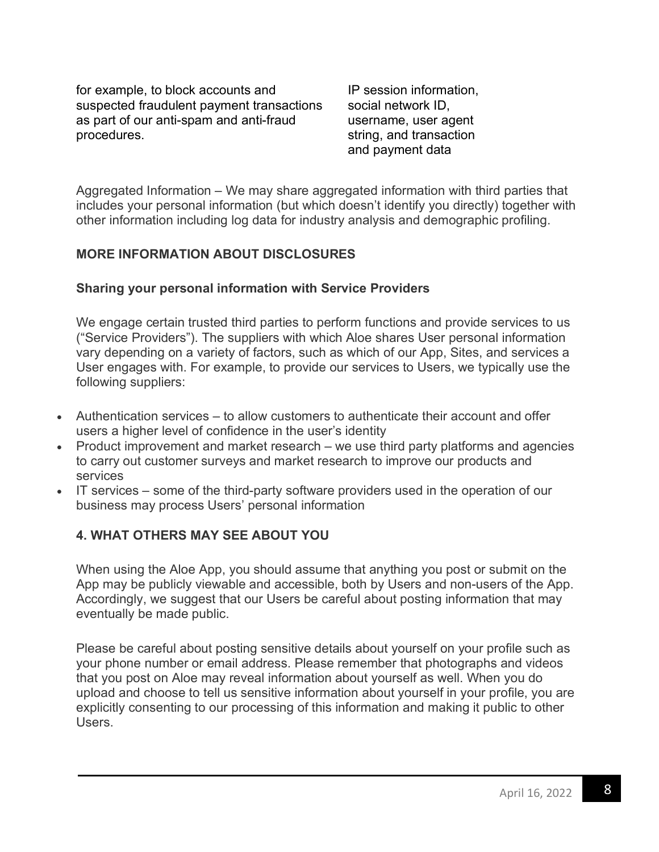for example, to block accounts and suspected fraudulent payment transactions as part of our anti-spam and anti-fraud procedures.

IP session information, social network ID, username, user agent string, and transaction and payment data

Aggregated Information – We may share aggregated information with third parties that includes your personal information (but which doesn't identify you directly) together with other information including log data for industry analysis and demographic profiling.

### **MORE INFORMATION ABOUT DISCLOSURES**

### **Sharing your personal information with Service Providers**

We engage certain trusted third parties to perform functions and provide services to us ("Service Providers"). The suppliers with which Aloe shares User personal information vary depending on a variety of factors, such as which of our App, Sites, and services a User engages with. For example, to provide our services to Users, we typically use the following suppliers:

- Authentication services to allow customers to authenticate their account and offer users a higher level of confidence in the user's identity
- Product improvement and market research we use third party platforms and agencies to carry out customer surveys and market research to improve our products and services
- IT services some of the third-party software providers used in the operation of our business may process Users' personal information

# **4. WHAT OTHERS MAY SEE ABOUT YOU**

When using the Aloe App, you should assume that anything you post or submit on the App may be publicly viewable and accessible, both by Users and non-users of the App. Accordingly, we suggest that our Users be careful about posting information that may eventually be made public.

Please be careful about posting sensitive details about yourself on your profile such as your phone number or email address. Please remember that photographs and videos that you post on Aloe may reveal information about yourself as well. When you do upload and choose to tell us sensitive information about yourself in your profile, you are explicitly consenting to our processing of this information and making it public to other Users.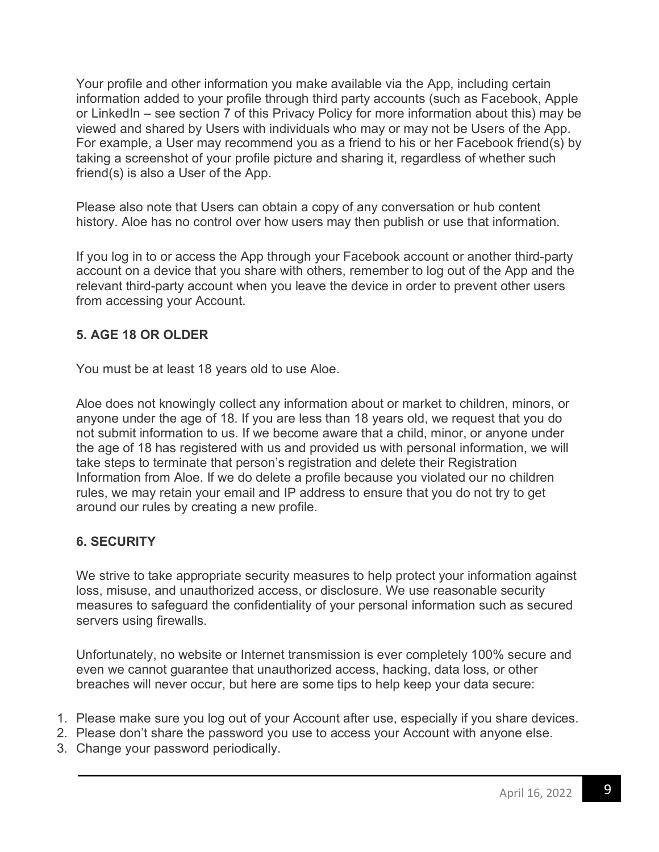Your profile and other information you make available via the App, including certain information added to your profile through third party accounts (such as Facebook, Apple or LinkedIn – see section 7 of this Privacy Policy for more information about this) may be viewed and shared by Users with individuals who may or may not be Users of the App. For example, a User may recommend you as a friend to his or her Facebook friend(s) by taking a screenshot of your profile picture and sharing it, regardless of whether such friend(s) is also a User of the App.

Please also note that Users can obtain a copy of any conversation or hub content history. Aloe has no control over how users may then publish or use that information.

If you log in to or access the App through your Facebook account or another third-party account on a device that you share with others, remember to log out of the App and the relevant third-party account when you leave the device in order to prevent other users from accessing your Account.

# **5. AGE 18 OR OLDER**

You must be at least 18 years old to use Aloe.

Aloe does not knowingly collect any information about or market to children, minors, or anyone under the age of 18. If you are less than 18 years old, we request that you do not submit information to us. If we become aware that a child, minor, or anyone under the age of 18 has registered with us and provided us with personal information, we will take steps to terminate that person's registration and delete their Registration Information from Aloe. If we do delete a profile because you violated our no children rules, we may retain your email and IP address to ensure that you do not try to get around our rules by creating a new profile.

# **6. SECURITY**

We strive to take appropriate security measures to help protect your information against loss, misuse, and unauthorized access, or disclosure. We use reasonable security measures to safeguard the confidentiality of your personal information such as secured servers using firewalls.

Unfortunately, no website or Internet transmission is ever completely 100% secure and even we cannot guarantee that unauthorized access, hacking, data loss, or other breaches will never occur, but here are some tips to help keep your data secure:

- 1. Please make sure you log out of your Account after use, especially if you share devices.
- 2. Please don't share the password you use to access your Account with anyone else.
- 3. Change your password periodically.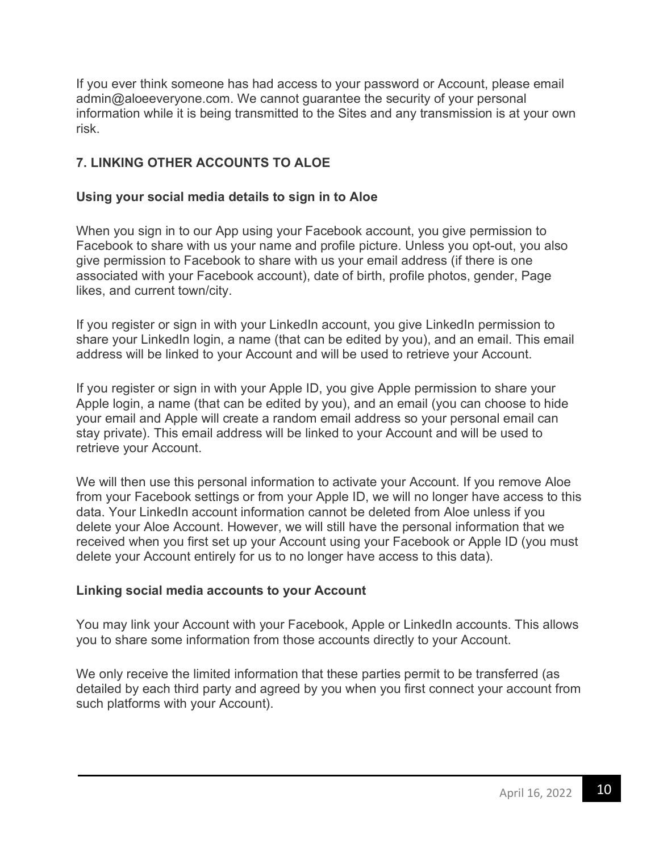If you ever think someone has had access to your password or Account, please email admin@aloeeveryone.com. We cannot guarantee the security of your personal information while it is being transmitted to the Sites and any transmission is at your own risk.

# **7. LINKING OTHER ACCOUNTS TO ALOE**

### **Using your social media details to sign in to Aloe**

When you sign in to our App using your Facebook account, you give permission to Facebook to share with us your name and profile picture. Unless you opt-out, you also give permission to Facebook to share with us your email address (if there is one associated with your Facebook account), date of birth, profile photos, gender, Page likes, and current town/city.

If you register or sign in with your LinkedIn account, you give LinkedIn permission to share your LinkedIn login, a name (that can be edited by you), and an email. This email address will be linked to your Account and will be used to retrieve your Account.

If you register or sign in with your Apple ID, you give Apple permission to share your Apple login, a name (that can be edited by you), and an email (you can choose to hide your email and Apple will create a random email address so your personal email can stay private). This email address will be linked to your Account and will be used to retrieve your Account.

We will then use this personal information to activate your Account. If you remove Aloe from your Facebook settings or from your Apple ID, we will no longer have access to this data. Your LinkedIn account information cannot be deleted from Aloe unless if you delete your Aloe Account. However, we will still have the personal information that we received when you first set up your Account using your Facebook or Apple ID (you must delete your Account entirely for us to no longer have access to this data).

### **Linking social media accounts to your Account**

You may link your Account with your Facebook, Apple or LinkedIn accounts. This allows you to share some information from those accounts directly to your Account.

We only receive the limited information that these parties permit to be transferred (as detailed by each third party and agreed by you when you first connect your account from such platforms with your Account).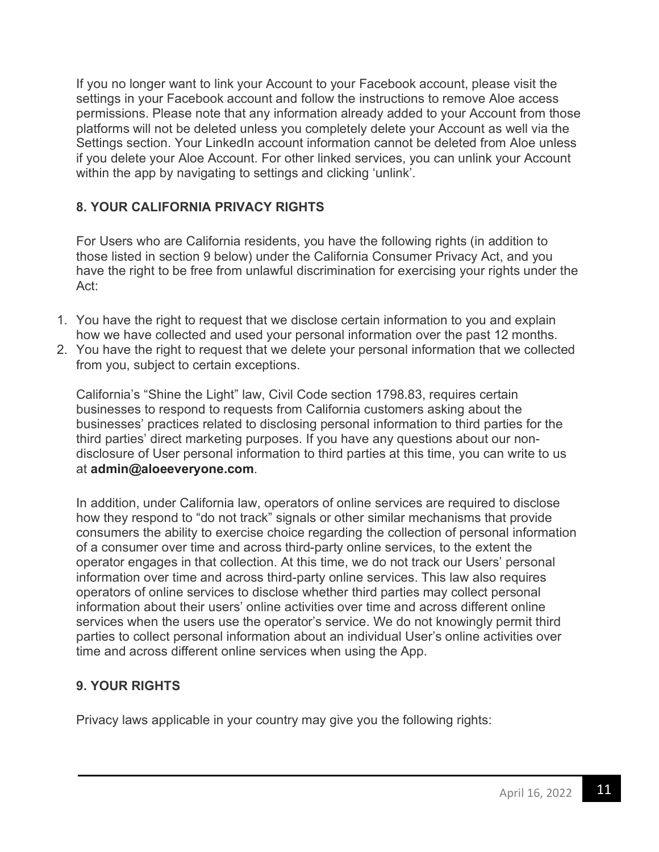If you no longer want to link your Account to your Facebook account, please visit the settings in your Facebook account and follow the instructions to remove Aloe access permissions. Please note that any information already added to your Account from those platforms will not be deleted unless you completely delete your Account as well via the Settings section. Your LinkedIn account information cannot be deleted from Aloe unless if you delete your Aloe Account. For other linked services, you can unlink your Account within the app by navigating to settings and clicking 'unlink'.

# **8. YOUR CALIFORNIA PRIVACY RIGHTS**

For Users who are California residents, you have the following rights (in addition to those listed in section 9 below) under the California Consumer Privacy Act, and you have the right to be free from unlawful discrimination for exercising your rights under the Act:

- 1. You have the right to request that we disclose certain information to you and explain how we have collected and used your personal information over the past 12 months.
- 2. You have the right to request that we delete your personal information that we collected from you, subject to certain exceptions.

California's "Shine the Light" law, Civil Code section 1798.83, requires certain businesses to respond to requests from California customers asking about the businesses' practices related to disclosing personal information to third parties for the third parties' direct marketing purposes. If you have any questions about our nondisclosure of User personal information to third parties at this time, you can write to us at **admin@aloeeveryone.com**.

In addition, under California law, operators of online services are required to disclose how they respond to "do not track" signals or other similar mechanisms that provide consumers the ability to exercise choice regarding the collection of personal information of a consumer over time and across third-party online services, to the extent the operator engages in that collection. At this time, we do not track our Users' personal information over time and across third-party online services. This law also requires operators of online services to disclose whether third parties may collect personal information about their users' online activities over time and across different online services when the users use the operator's service. We do not knowingly permit third parties to collect personal information about an individual User's online activities over time and across different online services when using the App.

# **9. YOUR RIGHTS**

Privacy laws applicable in your country may give you the following rights: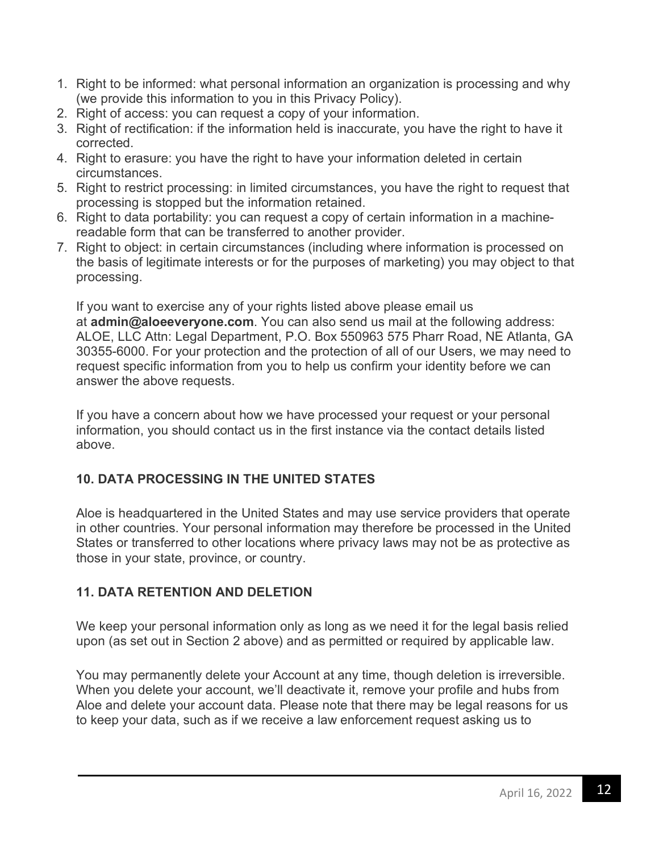- 1. Right to be informed: what personal information an organization is processing and why (we provide this information to you in this Privacy Policy).
- 2. Right of access: you can request a copy of your information.
- 3. Right of rectification: if the information held is inaccurate, you have the right to have it corrected.
- 4. Right to erasure: you have the right to have your information deleted in certain circumstances.
- 5. Right to restrict processing: in limited circumstances, you have the right to request that processing is stopped but the information retained.
- 6. Right to data portability: you can request a copy of certain information in a machinereadable form that can be transferred to another provider.
- 7. Right to object: in certain circumstances (including where information is processed on the basis of legitimate interests or for the purposes of marketing) you may object to that processing.

If you want to exercise any of your rights listed above please email us at **admin@aloeeveryone.com**. You can also send us mail at the following address: ALOE, LLC Attn: Legal Department, P.O. Box 550963 575 Pharr Road, NE Atlanta, GA 30355-6000. For your protection and the protection of all of our Users, we may need to request specific information from you to help us confirm your identity before we can answer the above requests.

If you have a concern about how we have processed your request or your personal information, you should contact us in the first instance via the contact details listed above.

# **10. DATA PROCESSING IN THE UNITED STATES**

Aloe is headquartered in the United States and may use service providers that operate in other countries. Your personal information may therefore be processed in the United States or transferred to other locations where privacy laws may not be as protective as those in your state, province, or country.

# **11. DATA RETENTION AND DELETION**

We keep your personal information only as long as we need it for the legal basis relied upon (as set out in Section 2 above) and as permitted or required by applicable law.

You may permanently delete your Account at any time, though deletion is irreversible. When you delete your account, we'll deactivate it, remove your profile and hubs from Aloe and delete your account data. Please note that there may be legal reasons for us to keep your data, such as if we receive a law enforcement request asking us to